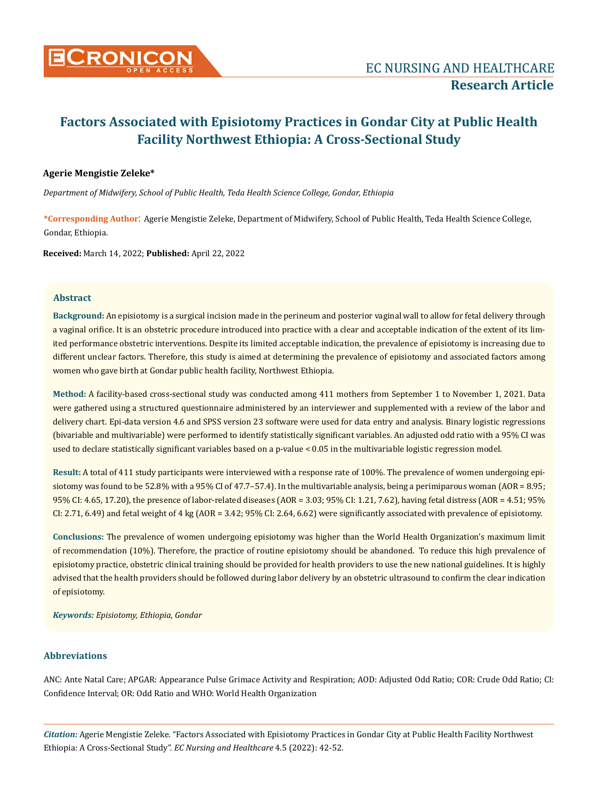

## **Agerie Mengistie Zeleke\***

*Department of Midwifery, School of Public Health, Teda Health Science College, Gondar, Ethiopia*

**\*Corresponding Author**: Agerie Mengistie Zeleke, Department of Midwifery, School of Public Health, Teda Health Science College, Gondar, Ethiopia.

**Received:** March 14, 2022; **Published:** April 22, 2022

## **Abstract**

**Background:** An episiotomy is a surgical incision made in the perineum and posterior vaginal wall to allow for fetal delivery through a vaginal orifice. It is an obstetric procedure introduced into practice with a clear and acceptable indication of the extent of its limited performance obstetric interventions. Despite its limited acceptable indication, the prevalence of episiotomy is increasing due to different unclear factors. Therefore, this study is aimed at determining the prevalence of episiotomy and associated factors among women who gave birth at Gondar public health facility, Northwest Ethiopia.

**Method:** A facility-based cross-sectional study was conducted among 411 mothers from September 1 to November 1, 2021. Data were gathered using a structured questionnaire administered by an interviewer and supplemented with a review of the labor and delivery chart. Epi-data version 4.6 and SPSS version 23 software were used for data entry and analysis. Binary logistic regressions (bivariable and multivariable) were performed to identify statistically significant variables. An adjusted odd ratio with a 95% CI was used to declare statistically significant variables based on a p-value < 0.05 in the multivariable logistic regression model.

**Result:** A total of 411 study participants were interviewed with a response rate of 100%. The prevalence of women undergoing episiotomy was found to be 52.8% with a 95% CI of 47.7–57.4). In the multivariable analysis, being a perimiparous woman (AOR = 8.95; 95% CI: 4.65, 17.20), the presence of labor-related diseases (AOR = 3.03; 95% CI: 1.21, 7.62), having fetal distress (AOR = 4.51; 95% CI: 2.71, 6.49) and fetal weight of 4 kg (AOR = 3.42; 95% CI: 2.64, 6.62) were significantly associated with prevalence of episiotomy.

**Conclusions:** The prevalence of women undergoing episiotomy was higher than the World Health Organization's maximum limit of recommendation (10%). Therefore, the practice of routine episiotomy should be abandoned. To reduce this high prevalence of episiotomy practice, obstetric clinical training should be provided for health providers to use the new national guidelines. It is highly advised that the health providers should be followed during labor delivery by an obstetric ultrasound to confirm the clear indication of episiotomy.

*Keywords: Episiotomy, Ethiopia, Gondar*

## **Abbreviations**

ANC: Ante Natal Care; APGAR: Appearance Pulse Grimace Activity and Respiration; AOD: Adjusted Odd Ratio; COR: Crude Odd Ratio; CI: Confidence Interval; OR: Odd Ratio and WHO: World Health Organization

*Citation:* Agerie Mengistie Zeleke*.* "Factors Associated with Episiotomy Practices in Gondar City at Public Health Facility Northwest Ethiopia: A Cross-Sectional Study". *EC Nursing and Healthcare* 4.5 (2022): 42-52.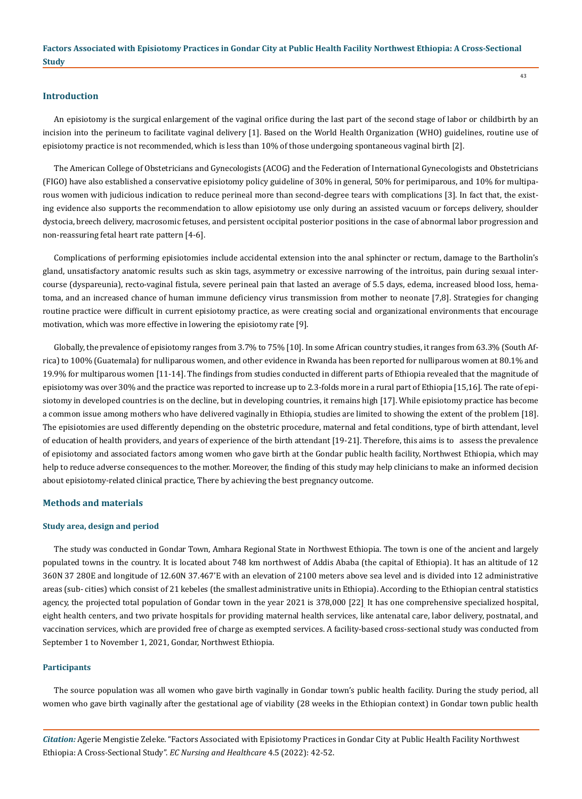## **Introduction**

An episiotomy is the surgical enlargement of the vaginal orifice during the last part of the second stage of labor or childbirth by an incision into the perineum to facilitate vaginal delivery [1]. Based on the World Health Organization (WHO) guidelines, routine use of episiotomy practice is not recommended, which is less than 10% of those undergoing spontaneous vaginal birth [2].

The American College of Obstetricians and Gynecologists (ACOG) and the Federation of International Gynecologists and Obstetricians (FIGO) have also established a conservative episiotomy policy guideline of 30% in general, 50% for perimiparous, and 10% for multiparous women with judicious indication to reduce perineal more than second-degree tears with complications [3]. In fact that, the existing evidence also supports the recommendation to allow episiotomy use only during an assisted vacuum or forceps delivery, shoulder dystocia, breech delivery, macrosomic fetuses, and persistent occipital posterior positions in the case of abnormal labor progression and non-reassuring fetal heart rate pattern [4-6].

Complications of performing episiotomies include accidental extension into the anal sphincter or rectum, damage to the Bartholin's gland, unsatisfactory anatomic results such as skin tags, asymmetry or excessive narrowing of the introitus, pain during sexual intercourse (dyspareunia), recto-vaginal fistula, severe perineal pain that lasted an average of 5.5 days, edema, increased blood loss, hematoma, and an increased chance of human immune deficiency virus transmission from mother to neonate [7,8]. Strategies for changing routine practice were difficult in current episiotomy practice, as were creating social and organizational environments that encourage motivation, which was more effective in lowering the episiotomy rate [9].

Globally, the prevalence of episiotomy ranges from 3.7% to 75% [10]. In some African country studies, it ranges from 63.3% (South Africa) to 100% (Guatemala) for nulliparous women, and other evidence in Rwanda has been reported for nulliparous women at 80.1% and 19.9% for multiparous women [11-14]. The findings from studies conducted in different parts of Ethiopia revealed that the magnitude of episiotomy was over 30% and the practice was reported to increase up to 2.3-folds more in a rural part of Ethiopia [15,16]. The rate of episiotomy in developed countries is on the decline, but in developing countries, it remains high [17]. While episiotomy practice has become a common issue among mothers who have delivered vaginally in Ethiopia, studies are limited to showing the extent of the problem [18]. The episiotomies are used differently depending on the obstetric procedure, maternal and fetal conditions, type of birth attendant, level of education of health providers, and years of experience of the birth attendant [19-21]. Therefore, this aims is to assess the prevalence of episiotomy and associated factors among women who gave birth at the Gondar public health facility, Northwest Ethiopia, which may help to reduce adverse consequences to the mother. Moreover, the finding of this study may help clinicians to make an informed decision about episiotomy-related clinical practice, There by achieving the best pregnancy outcome.

## **Methods and materials**

#### **Study area, design and period**

The study was conducted in Gondar Town, Amhara Regional State in Northwest Ethiopia. The town is one of the ancient and largely populated towns in the country. It is located about 748 km northwest of Addis Ababa (the capital of Ethiopia). It has an altitude of 12 360N 37 280E and longitude of 12.60N 37.467'E with an elevation of 2100 meters above sea level and is divided into 12 administrative areas (sub- cities) which consist of 21 kebeles (the smallest administrative units in Ethiopia). According to the Ethiopian central statistics agency, the projected total population of Gondar town in the year 2021 is 378,000 [22]. It has one comprehensive specialized hospital, eight health centers, and two private hospitals for providing maternal health services, like antenatal care, labor delivery, postnatal, and vaccination services, which are provided free of charge as exempted services. A facility-based cross-sectional study was conducted from September 1 to November 1, 2021, Gondar, Northwest Ethiopia.

#### **Participants**

The source population was all women who gave birth vaginally in Gondar town's public health facility. During the study period, all women who gave birth vaginally after the gestational age of viability (28 weeks in the Ethiopian context) in Gondar town public health

*Citation:* Agerie Mengistie Zeleke*.* "Factors Associated with Episiotomy Practices in Gondar City at Public Health Facility Northwest Ethiopia: A Cross-Sectional Study". *EC Nursing and Healthcare* 4.5 (2022): 42-52.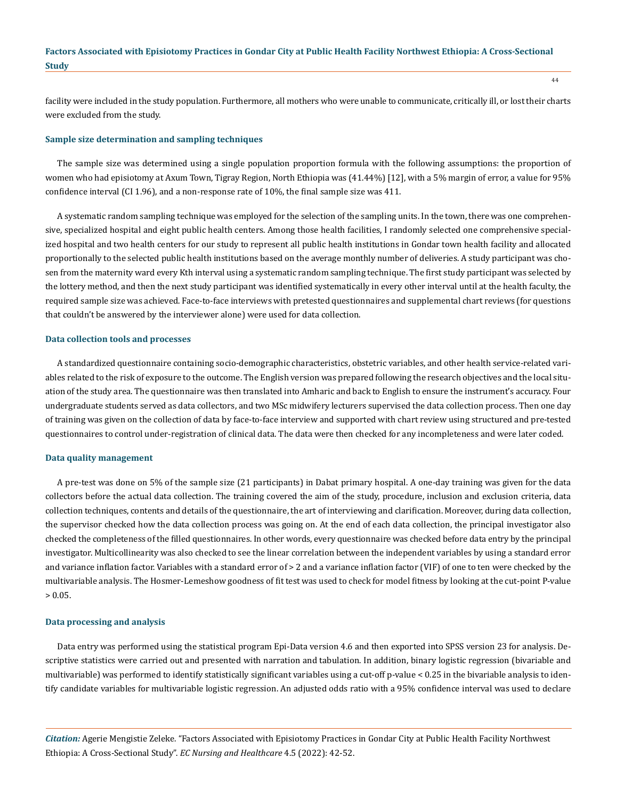facility were included in the study population. Furthermore, all mothers who were unable to communicate, critically ill, or lost their charts were excluded from the study.

#### **Sample size determination and sampling techniques**

The sample size was determined using a single population proportion formula with the following assumptions: the proportion of women who had episiotomy at Axum Town, Tigray Region, North Ethiopia was (41.44%) [12], with a 5% margin of error, a value for 95% confidence interval (CI 1.96), and a non-response rate of 10%, the final sample size was 411.

A systematic random sampling technique was employed for the selection of the sampling units. In the town, there was one comprehensive, specialized hospital and eight public health centers. Among those health facilities, I randomly selected one comprehensive specialized hospital and two health centers for our study to represent all public health institutions in Gondar town health facility and allocated proportionally to the selected public health institutions based on the average monthly number of deliveries. A study participant was chosen from the maternity ward every Kth interval using a systematic random sampling technique. The first study participant was selected by the lottery method, and then the next study participant was identified systematically in every other interval until at the health faculty, the required sample size was achieved. Face-to-face interviews with pretested questionnaires and supplemental chart reviews (for questions that couldn't be answered by the interviewer alone) were used for data collection.

#### **Data collection tools and processes**

A standardized questionnaire containing socio-demographic characteristics, obstetric variables, and other health service-related variables related to the risk of exposure to the outcome. The English version was prepared following the research objectives and the local situation of the study area. The questionnaire was then translated into Amharic and back to English to ensure the instrument's accuracy. Four undergraduate students served as data collectors, and two MSc midwifery lecturers supervised the data collection process. Then one day of training was given on the collection of data by face-to-face interview and supported with chart review using structured and pre-tested questionnaires to control under-registration of clinical data. The data were then checked for any incompleteness and were later coded.

#### **Data quality management**

A pre-test was done on 5% of the sample size (21 participants) in Dabat primary hospital. A one-day training was given for the data collectors before the actual data collection. The training covered the aim of the study, procedure, inclusion and exclusion criteria, data collection techniques, contents and details of the questionnaire, the art of interviewing and clarification. Moreover, during data collection, the supervisor checked how the data collection process was going on. At the end of each data collection, the principal investigator also checked the completeness of the filled questionnaires. In other words, every questionnaire was checked before data entry by the principal investigator. Multicollinearity was also checked to see the linear correlation between the independent variables by using a standard error and variance inflation factor. Variables with a standard error of > 2 and a variance inflation factor (VIF) of one to ten were checked by the multivariable analysis. The Hosmer-Lemeshow goodness of fit test was used to check for model fitness by looking at the cut-point P-value  $> 0.05.$ 

#### **Data processing and analysis**

Data entry was performed using the statistical program Epi-Data version 4.6 and then exported into SPSS version 23 for analysis. Descriptive statistics were carried out and presented with narration and tabulation. In addition, binary logistic regression (bivariable and multivariable) was performed to identify statistically significant variables using a cut-off p-value < 0.25 in the bivariable analysis to identify candidate variables for multivariable logistic regression. An adjusted odds ratio with a 95% confidence interval was used to declare

*Citation:* Agerie Mengistie Zeleke*.* "Factors Associated with Episiotomy Practices in Gondar City at Public Health Facility Northwest Ethiopia: A Cross-Sectional Study". *EC Nursing and Healthcare* 4.5 (2022): 42-52.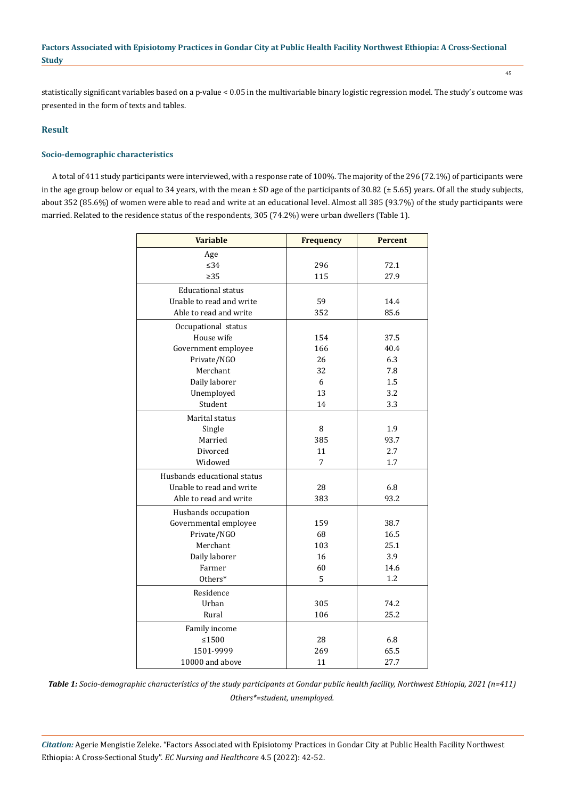statistically significant variables based on a p-value < 0.05 in the multivariable binary logistic regression model. The study's outcome was presented in the form of texts and tables.

## **Result**

## **Socio-demographic characteristics**

A total of 411 study participants were interviewed, with a response rate of 100%. The majority of the 296 (72.1%) of participants were in the age group below or equal to 34 years, with the mean ± SD age of the participants of 30.82 (± 5.65) years. Of all the study subjects, about 352 (85.6%) of women were able to read and write at an educational level. Almost all 385 (93.7%) of the study participants were married. Related to the residence status of the respondents, 305 (74.2%) were urban dwellers (Table 1).

| <b>Variable</b>             | <b>Frequency</b> | <b>Percent</b> |
|-----------------------------|------------------|----------------|
| Age                         |                  |                |
| $\leq$ 34                   | 296              | 72.1           |
| > 35                        | 115              | 27.9           |
| <b>Educational status</b>   |                  |                |
| Unable to read and write    | 59               | 14.4           |
| Able to read and write      | 352              | 85.6           |
| Occupational status         |                  |                |
| House wife                  | 154              | 37.5           |
| Government employee         | 166              | 40.4           |
| Private/NGO                 | 26               | 6.3            |
| Merchant                    | 32               | 7.8            |
| Daily laborer               | 6                | 1.5            |
| Unemployed                  | 13               | 3.2            |
| Student                     | 14               | 3.3            |
| Marital status              |                  |                |
| Single                      | 8                | 1.9            |
| Married                     | 385              | 93.7           |
| Divorced                    | 11               | 2.7            |
| Widowed                     | 7                | 1.7            |
| Husbands educational status |                  |                |
| Unable to read and write    | 28               | 6.8            |
| Able to read and write      | 383              | 93.2           |
| Husbands occupation         |                  |                |
| Governmental employee       | 159              | 38.7           |
| Private/NGO                 | 68               | 16.5           |
| Merchant                    | 103              | 25.1           |
| Daily laborer               | 16               | 3.9            |
| Farmer                      | 60               | 14.6           |
| Others*                     | 5                | 1.2            |
| Residence                   |                  |                |
| Urban                       | 305              | 74.2           |
| Rural                       | 106              | 25.2           |
| Family income               |                  |                |
| $≤1500$                     | 28               | 6.8            |
| 1501-9999                   | 269              | 65.5           |
| 10000 and above             | 11               | 27.7           |

*Table 1: Socio-demographic characteristics of the study participants at Gondar public health facility, Northwest Ethiopia, 2021 (n=411) Others\*=student, unemployed.*

*Citation:* Agerie Mengistie Zeleke*.* "Factors Associated with Episiotomy Practices in Gondar City at Public Health Facility Northwest Ethiopia: A Cross-Sectional Study". *EC Nursing and Healthcare* 4.5 (2022): 42-52.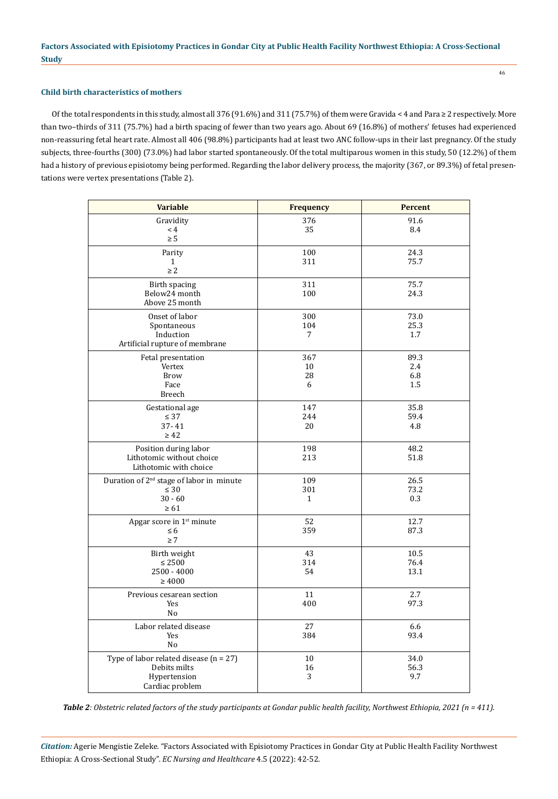## **Child birth characteristics of mothers**

Of the total respondents in this study, almost all 376 (91.6%) and 311 (75.7%) of them were Gravida < 4 and Para ≥ 2 respectively. More than two–thirds of 311 (75.7%) had a birth spacing of fewer than two years ago. About 69 (16.8%) of mothers' fetuses had experienced non-reassuring fetal heart rate. Almost all 406 (98.8%) participants had at least two ANC follow-ups in their last pregnancy. Of the study subjects, three-fourths (300) (73.0%) had labor started spontaneously. Of the total multiparous women in this study, 50 (12.2%) of them had a history of previous episiotomy being performed. Regarding the labor delivery process, the majority (367, or 89.3%) of fetal presentations were vertex presentations (Table 2).

| <b>Variable</b>                                                                             | <b>Frequency</b>             | <b>Percent</b>            |
|---------------------------------------------------------------------------------------------|------------------------------|---------------------------|
| Gravidity<br>$\leq 4$<br>$\geq 5$                                                           | 376<br>35                    | 91.6<br>8.4               |
| Parity<br>$\mathbf{1}$<br>$\geq 2$                                                          | 100<br>311                   | 24.3<br>75.7              |
| Birth spacing<br>Below24 month<br>Above 25 month                                            | 311<br>100                   | 75.7<br>24.3              |
| Onset of labor<br>Spontaneous<br>Induction<br>Artificial rupture of membrane                | 300<br>104<br>$\overline{7}$ | 73.0<br>25.3<br>1.7       |
| Fetal presentation<br>Vertex<br><b>Brow</b><br>Face<br>Breech                               | 367<br>10<br>28<br>6         | 89.3<br>2.4<br>6.8<br>1.5 |
| Gestational age<br>$\leq 37$<br>$37 - 41$<br>$\geq 42$                                      | 147<br>244<br>20             | 35.8<br>59.4<br>4.8       |
| Position during labor<br>Lithotomic without choice<br>Lithotomic with choice                | 198<br>213                   | 48.2<br>51.8              |
| Duration of 2 <sup>nd</sup> stage of labor in minute<br>$\leq 30$<br>$30 - 60$<br>$\geq 61$ | 109<br>301<br>$\mathbf{1}$   | 26.5<br>73.2<br>0.3       |
| Apgar score in 1 <sup>st</sup> minute<br>$\leq 6$<br>$\geq 7$                               | 52<br>359                    | 12.7<br>87.3              |
| Birth weight<br>$\leq 2500$<br>2500 - 4000<br>$\geq 4000$                                   | 43<br>314<br>54              | 10.5<br>76.4<br>13.1      |
| Previous cesarean section<br>Yes<br>No                                                      | 11<br>400                    | 2.7<br>97.3               |
| Labor related disease<br>Yes<br>No                                                          | 27<br>384                    | 6.6<br>93.4               |
| Type of labor related disease $(n = 27)$<br>Debits milts<br>Hypertension<br>Cardiac problem | 10<br>16<br>3                | 34.0<br>56.3<br>9.7       |

*Table 2: Obstetric related factors of the study participants at Gondar public health facility, Northwest Ethiopia, 2021 (n = 411).*

*Citation:* Agerie Mengistie Zeleke*.* "Factors Associated with Episiotomy Practices in Gondar City at Public Health Facility Northwest Ethiopia: A Cross-Sectional Study". *EC Nursing and Healthcare* 4.5 (2022): 42-52.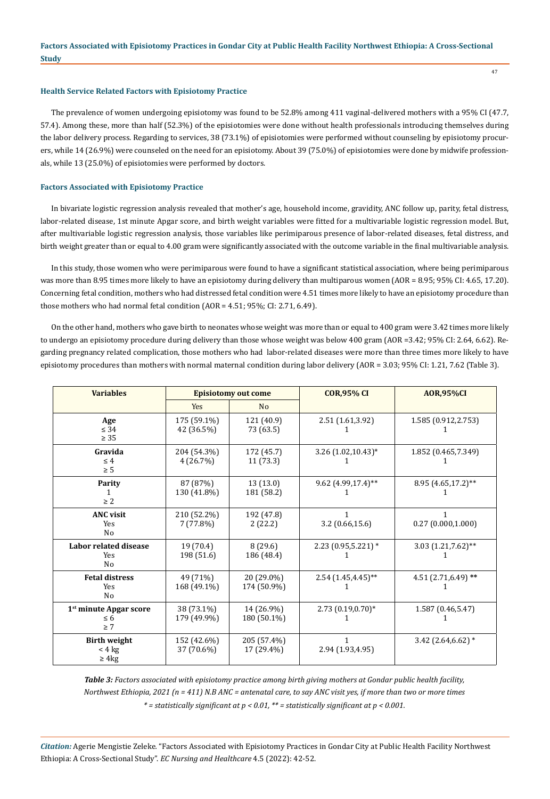## **Health Service Related Factors with Episiotomy Practice**

The prevalence of women undergoing episiotomy was found to be 52.8% among 411 vaginal-delivered mothers with a 95% CI (47.7, 57.4). Among these, more than half (52.3%) of the episiotomies were done without health professionals introducing themselves during the labor delivery process. Regarding to services, 38 (73.1%) of episiotomies were performed without counseling by episiotomy procurers, while 14 (26.9%) were counseled on the need for an episiotomy. About 39 (75.0%) of episiotomies were done by midwife professionals, while 13 (25.0%) of episiotomies were performed by doctors.

#### **Factors Associated with Episiotomy Practice**

In bivariate logistic regression analysis revealed that mother's age, household income, gravidity, ANC follow up, parity, fetal distress, labor-related disease, 1st minute Apgar score, and birth weight variables were fitted for a multivariable logistic regression model. But, after multivariable logistic regression analysis, those variables like perimiparous presence of labor-related diseases, fetal distress, and birth weight greater than or equal to 4.00 gram were significantly associated with the outcome variable in the final multivariable analysis.

In this study, those women who were perimiparous were found to have a significant statistical association, where being perimiparous was more than 8.95 times more likely to have an episiotomy during delivery than multiparous women (AOR = 8.95; 95% CI: 4.65, 17.20). Concerning fetal condition, mothers who had distressed fetal condition were 4.51 times more likely to have an episiotomy procedure than those mothers who had normal fetal condition (AOR = 4.51; 95%; CI: 2.71, 6.49).

On the other hand, mothers who gave birth to neonates whose weight was more than or equal to 400 gram were 3.42 times more likely to undergo an episiotomy procedure during delivery than those whose weight was below 400 gram (AOR =3.42; 95% CI: 2.64, 6.62). Regarding pregnancy related complication, those mothers who had labor-related diseases were more than three times more likely to have episiotomy procedures than mothers with normal maternal condition during labor delivery (AOR = 3.03; 95% CI: 1.21, 7.62 (Table 3).

| <b>Variables</b>                                           | <b>Episiotomy out come</b> |                           | <b>COR, 95% CI</b>    | <b>AOR,95%CI</b>        |
|------------------------------------------------------------|----------------------------|---------------------------|-----------------------|-------------------------|
|                                                            | <b>Yes</b>                 | N <sub>o</sub>            |                       |                         |
| Age<br>$\leq$ 34<br>$\geq 35$                              | 175 (59.1%)<br>42 (36.5%)  | 121 (40.9)<br>73 (63.5)   | 2.51 (1.61,3.92)      | 1.585 (0.912,2.753)     |
| Gravida<br>$\leq 4$<br>$\geq 5$                            | 204 (54.3%)<br>4(26.7%)    | 172 (45.7)<br>11(73.3)    | 3.26 (1.02,10.43)*    | 1.852 (0.465,7.349)     |
| Parity<br>$\geq 2$                                         | 87 (87%)<br>130 (41.8%)    | 13(13.0)<br>181 (58.2)    | 9.62 (4.99,17.4)**    | 8.95 (4.65,17.2)**      |
| <b>ANC</b> visit<br><b>Yes</b><br>N <sub>0</sub>           | 210 (52.2%)<br>7(77.8%)    | 192 (47.8)<br>2(22.2)     | 1<br>3.2(0.66, 15.6)  | 1<br>0.27(0.000, 1.000) |
| Labor related disease<br>Yes<br>N <sub>o</sub>             | 19 (70.4)<br>198 (51.6)    | 8(29.6)<br>186 (48.4)     | $2.23(0.95,5.221)*$   | 3.03 (1.21,7.62)**<br>1 |
| <b>Fetal distress</b><br>Yes<br>N <sub>0</sub>             | 49 (71%)<br>168 (49.1%)    | 20 (29.0%)<br>174 (50.9%) | 2.54 (1.45,4.45)**    | 4.51 (2.71,6.49) **     |
| 1 <sup>st</sup> minute Apgar score<br>$\leq 6$<br>$\geq 7$ | 38 (73.1%)<br>179 (49.9%)  | 14 (26.9%)<br>180 (50.1%) | $2.73(0.19,0.70)*$    | 1.587 (0.46,5.47)       |
| <b>Birth weight</b><br>$<$ 4 $kg$<br>$\geq 4$ kg           | 152 (42.6%)<br>37 (70.6%)  | 205 (57.4%)<br>17 (29.4%) | 1<br>2.94 (1.93,4.95) | 3.42 $(2.64, 6.62)$ *   |

*Table 3: Factors associated with episiotomy practice among birth giving mothers at Gondar public health facility, Northwest Ethiopia, 2021 (n = 411) N.B ANC = antenatal care, to say ANC visit yes, if more than two or more times \* = statistically significant at p < 0.01, \*\* = statistically significant at p < 0.001.*

*Citation:* Agerie Mengistie Zeleke*.* "Factors Associated with Episiotomy Practices in Gondar City at Public Health Facility Northwest Ethiopia: A Cross-Sectional Study". *EC Nursing and Healthcare* 4.5 (2022): 42-52.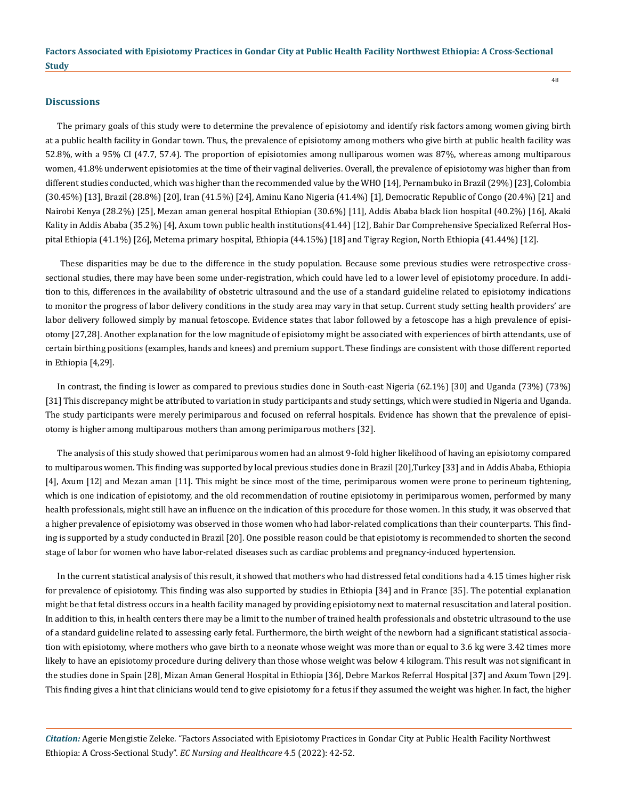#### **Discussions**

The primary goals of this study were to determine the prevalence of episiotomy and identify risk factors among women giving birth at a public health facility in Gondar town. Thus, the prevalence of episiotomy among mothers who give birth at public health facility was 52.8%, with a 95% CI (47.7, 57.4). The proportion of episiotomies among nulliparous women was 87%, whereas among multiparous women, 41.8% underwent episiotomies at the time of their vaginal deliveries. Overall, the prevalence of episiotomy was higher than from different studies conducted, which was higher than the recommended value by the WHO [14], Pernambuko in Brazil (29%) [23], Colombia (30.45%) [13], Brazil (28.8%) [20], Iran (41.5%) [24], Aminu Kano Nigeria (41.4%) [1], Democratic Republic of Congo (20.4%) [21] and Nairobi Kenya (28.2%) [25], Mezan aman general hospital Ethiopian (30.6%) [11], Addis Ababa black lion hospital (40.2%) [16], Akaki Kality in Addis Ababa (35.2%) [4], Axum town public health institutions(41.44) [12], Bahir Dar Comprehensive Specialized Referral Hospital Ethiopia (41.1%) [26], Metema primary hospital, Ethiopia (44.15%) [18] and Tigray Region, North Ethiopia (41.44%) [12].

 These disparities may be due to the difference in the study population. Because some previous studies were retrospective crosssectional studies, there may have been some under-registration, which could have led to a lower level of episiotomy procedure. In addition to this, differences in the availability of obstetric ultrasound and the use of a standard guideline related to episiotomy indications to monitor the progress of labor delivery conditions in the study area may vary in that setup. Current study setting health providers' are labor delivery followed simply by manual fetoscope. Evidence states that labor followed by a fetoscope has a high prevalence of episiotomy [27,28]. Another explanation for the low magnitude of episiotomy might be associated with experiences of birth attendants, use of certain birthing positions (examples, hands and knees) and premium support. These findings are consistent with those different reported in Ethiopia [4,29].

In contrast, the finding is lower as compared to previous studies done in South-east Nigeria (62.1%) [30] and Uganda (73%) (73%) [31] This discrepancy might be attributed to variation in study participants and study settings, which were studied in Nigeria and Uganda. The study participants were merely perimiparous and focused on referral hospitals. Evidence has shown that the prevalence of episiotomy is higher among multiparous mothers than among perimiparous mothers [32].

The analysis of this study showed that perimiparous women had an almost 9-fold higher likelihood of having an episiotomy compared to multiparous women. This finding was supported by local previous studies done in Brazil [20],Turkey [33] and in Addis Ababa, Ethiopia [4], Axum [12] and Mezan aman [11]. This might be since most of the time, perimiparous women were prone to perineum tightening, which is one indication of episiotomy, and the old recommendation of routine episiotomy in perimiparous women, performed by many health professionals, might still have an influence on the indication of this procedure for those women. In this study, it was observed that a higher prevalence of episiotomy was observed in those women who had labor-related complications than their counterparts. This finding is supported by a study conducted in Brazil [20]. One possible reason could be that episiotomy is recommended to shorten the second stage of labor for women who have labor-related diseases such as cardiac problems and pregnancy-induced hypertension.

In the current statistical analysis of this result, it showed that mothers who had distressed fetal conditions had a 4.15 times higher risk for prevalence of episiotomy. This finding was also supported by studies in Ethiopia [34] and in France [35]. The potential explanation might be that fetal distress occurs in a health facility managed by providing episiotomy next to maternal resuscitation and lateral position. In addition to this, in health centers there may be a limit to the number of trained health professionals and obstetric ultrasound to the use of a standard guideline related to assessing early fetal. Furthermore, the birth weight of the newborn had a significant statistical association with episiotomy, where mothers who gave birth to a neonate whose weight was more than or equal to 3.6 kg were 3.42 times more likely to have an episiotomy procedure during delivery than those whose weight was below 4 kilogram. This result was not significant in the studies done in Spain [28], Mizan Aman General Hospital in Ethiopia [36], Debre Markos Referral Hospital [37] and Axum Town [29]. This finding gives a hint that clinicians would tend to give episiotomy for a fetus if they assumed the weight was higher. In fact, the higher

*Citation:* Agerie Mengistie Zeleke*.* "Factors Associated with Episiotomy Practices in Gondar City at Public Health Facility Northwest Ethiopia: A Cross-Sectional Study". *EC Nursing and Healthcare* 4.5 (2022): 42-52.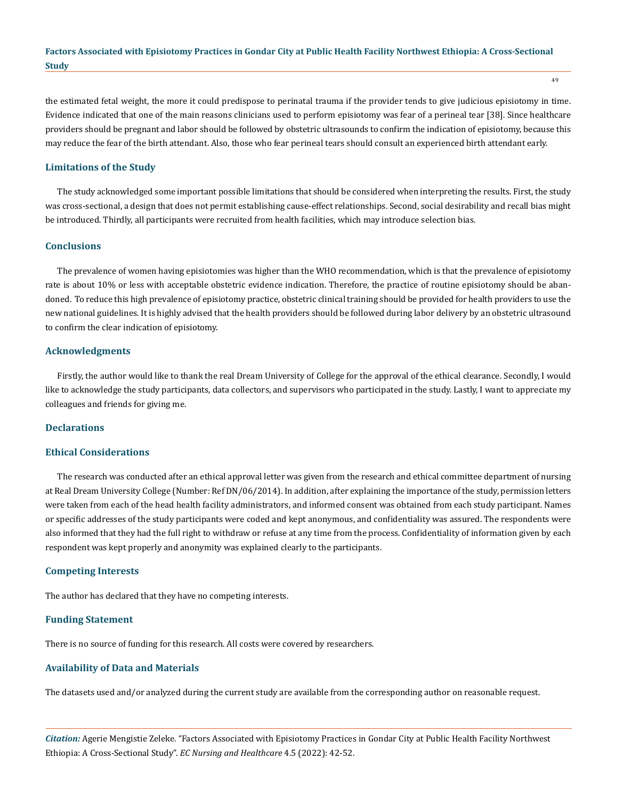the estimated fetal weight, the more it could predispose to perinatal trauma if the provider tends to give judicious episiotomy in time. Evidence indicated that one of the main reasons clinicians used to perform episiotomy was fear of a perineal tear [38]. Since healthcare providers should be pregnant and labor should be followed by obstetric ultrasounds to confirm the indication of episiotomy, because this may reduce the fear of the birth attendant. Also, those who fear perineal tears should consult an experienced birth attendant early.

## **Limitations of the Study**

The study acknowledged some important possible limitations that should be considered when interpreting the results. First, the study was cross-sectional, a design that does not permit establishing cause-effect relationships. Second, social desirability and recall bias might be introduced. Thirdly, all participants were recruited from health facilities, which may introduce selection bias.

#### **Conclusions**

The prevalence of women having episiotomies was higher than the WHO recommendation, which is that the prevalence of episiotomy rate is about 10% or less with acceptable obstetric evidence indication. Therefore, the practice of routine episiotomy should be abandoned. To reduce this high prevalence of episiotomy practice, obstetric clinical training should be provided for health providers to use the new national guidelines. It is highly advised that the health providers should be followed during labor delivery by an obstetric ultrasound to confirm the clear indication of episiotomy.

#### **Acknowledgments**

Firstly, the author would like to thank the real Dream University of College for the approval of the ethical clearance. Secondly, I would like to acknowledge the study participants, data collectors, and supervisors who participated in the study. Lastly, I want to appreciate my colleagues and friends for giving me.

## **Declarations**

#### **Ethical Considerations**

The research was conducted after an ethical approval letter was given from the research and ethical committee department of nursing at Real Dream University College (Number: Ref DN/06/2014). In addition, after explaining the importance of the study, permission letters were taken from each of the head health facility administrators, and informed consent was obtained from each study participant. Names or specific addresses of the study participants were coded and kept anonymous, and confidentiality was assured. The respondents were also informed that they had the full right to withdraw or refuse at any time from the process. Confidentiality of information given by each respondent was kept properly and anonymity was explained clearly to the participants.

## **Competing Interests**

The author has declared that they have no competing interests.

#### **Funding Statement**

There is no source of funding for this research. All costs were covered by researchers.

## **Availability of Data and Materials**

The datasets used and/or analyzed during the current study are available from the corresponding author on reasonable request.

*Citation:* Agerie Mengistie Zeleke*.* "Factors Associated with Episiotomy Practices in Gondar City at Public Health Facility Northwest Ethiopia: A Cross-Sectional Study". *EC Nursing and Healthcare* 4.5 (2022): 42-52.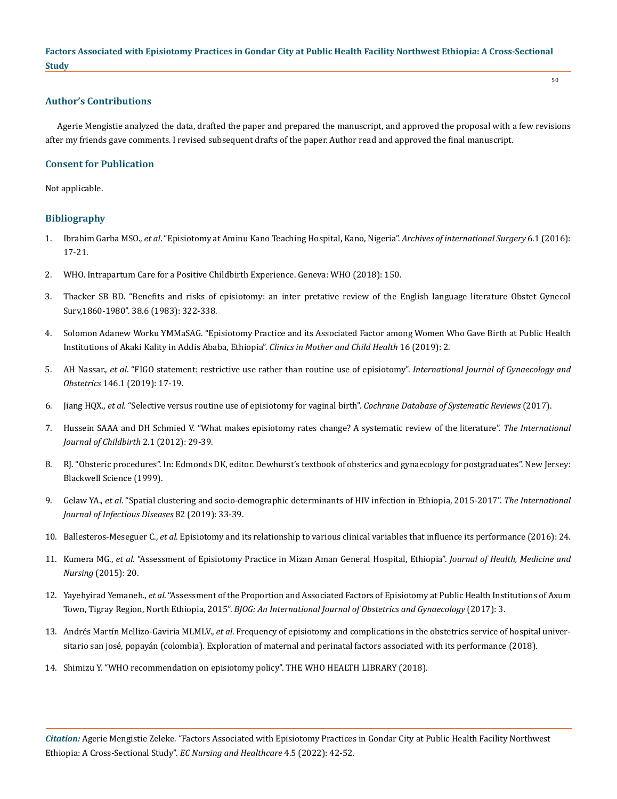## **Author's Contributions**

Agerie Mengistie analyzed the data, drafted the paper and prepared the manuscript, and approved the proposal with a few revisions after my friends gave comments. I revised subsequent drafts of the paper. Author read and approved the final manuscript.

50

# **Consent for Publication**

Not applicable.

#### **Bibliography**

- 1. Ibrahim Garba MSO., *et al*[. "Episiotomy at Aminu Kano Teaching Hospital, Kano, Nigeria".](https://www.archintsurg.org/article.asp?issn=2278-9596;year=2016;volume=6;issue=1;spage=17;epage=21;aulast=Garba) *Archives of international Surgery* 6.1 (2016): [17-21.](https://www.archintsurg.org/article.asp?issn=2278-9596;year=2016;volume=6;issue=1;spage=17;epage=21;aulast=Garba)
- 2. [WHO. Intrapartum Care for a Positive Childbirth Experience. Geneva: WHO \(2018\): 150.](https://apps.who.int/iris/bitstream/handle/10665/260178/9789241550215-eng.pdf)
- 3. [Thacker SB BD. "Benefits and risks of episiotomy: an inter pretative review of the English language literature Obstet Gynecol](https://pubmed.ncbi.nlm.nih.gov/6346168/)  [Surv,1860-1980". 38.6 \(1983\): 322-338.](https://pubmed.ncbi.nlm.nih.gov/6346168/)
- 4. [Solomon Adanew Worku YMMaSAG. "Episiotomy Practice and its Associated Factor among Women Who Gave Birth at Public Health](https://reproductive-health-journal.biomedcentral.com/articles/10.1186/s12978-021-01194-9)  [Institutions of Akaki Kality in Addis Ababa, Ethiopia".](https://reproductive-health-journal.biomedcentral.com/articles/10.1186/s12978-021-01194-9) *Clinics in Mother and Child Health* 16 (2019): 2.
- 5. AH Nassar., *et al*[. "FIGO statement: restrictive use rather than routine use of episiotomy".](https://pubmed.ncbi.nlm.nih.gov/31058312/) *International Journal of Gynaecology and Obstetrics* [146.1 \(2019\): 17-19.](https://pubmed.ncbi.nlm.nih.gov/31058312/)
- 6. Jiang HQX., *et al*[. "Selective versus routine use of episiotomy for vaginal birth".](https://pubmed.ncbi.nlm.nih.gov/28176333/) *Cochrane Database of Systematic Reviews* (2017).
- 7. [Hussein SAAA and DH Schmied V. "What makes episiotomy rates change? A systematic review of the literature".](https://connect.springerpub.com/content/sgrijc/2/1/29) *The International [Journal of Childbirth](https://connect.springerpub.com/content/sgrijc/2/1/29)* 2.1 (2012): 29-39.
- 8. [RJ. "Obsteric procedures". In: Edmonds DK, editor. Dewhurst's textbook of obsterics and gynaecology for postgraduates". New Jersey:](https://www.uptodate.com/contents/table-of-contents/obstetrics-gynecology-and-womens-health/obstetrics-procedures)  [Blackwell Science \(1999\).](https://www.uptodate.com/contents/table-of-contents/obstetrics-gynecology-and-womens-health/obstetrics-procedures)
- 9. Gelaw YA., *et al*[. "Spatial clustering and socio-demographic determinants of HIV infection in Ethiopia, 2015-2017".](https://pubmed.ncbi.nlm.nih.gov/30844516/) *The International [Journal of Infectious Diseases](https://pubmed.ncbi.nlm.nih.gov/30844516/)* 82 (2019): 33-39.
- 10. Ballesteros-Meseguer C., *et al*[. Episiotomy and its relationship to various clinical variables that influence its performance \(2016\): 24.](https://pubmed.ncbi.nlm.nih.gov/27224064/)
- 11. Kumera MG., *et al*[. "Assessment of Episiotomy Practice in Mizan Aman General Hospital, Ethiopia".](https://www.semanticscholar.org/paper/Assessment-of-Episiotomy-Practice-in-Mizan-Aman-Kumera-Ademe/c32d6f01fa954aeb8bd0dc63eb43c207caced807) *Journal of Health, Medicine and Nursing* [\(2015\): 20.](https://www.semanticscholar.org/paper/Assessment-of-Episiotomy-Practice-in-Mizan-Aman-Kumera-Ademe/c32d6f01fa954aeb8bd0dc63eb43c207caced807)
- 12. Yayehyirad Yemaneh., *et al*[. "Assessment of the Proportion and Associated Factors of Episiotomy at Public Health Institutions of Axum](https://obstetrics.imedpub.com/assessment-of-the-proportion-and-associated-factors-of-episiotomy-at-public-health-institutions-of-axum-town-tigray-region-north-e.pdf)  Town, Tigray Region, North Ethiopia, 2015". *[BJOG: An International Journal of Obstetrics and Gynaecology](https://obstetrics.imedpub.com/assessment-of-the-proportion-and-associated-factors-of-episiotomy-at-public-health-institutions-of-axum-town-tigray-region-north-e.pdf)* (2017): 3.
- 13. Andrés Martín Mellizo-Gaviria MLMLV., *et al*[. Frequency of episiotomy and complications in the obstetrics service of hospital univer](http://www.scielo.org.co/scielo.php?script=sci_arttext&pid=S0034-74342018000200088)[sitario san josé, popayán \(colombia\). Exploration of maternal and perinatal factors associated with its performance \(2018\).](http://www.scielo.org.co/scielo.php?script=sci_arttext&pid=S0034-74342018000200088)
- 14. [Shimizu Y. "WHO recommendation on episiotomy policy". THE WHO HEALTH LIBRARY \(2018\).](https://bestdoulas.com/wp-content/uploads/2020/06/epiguidelines.pdf)

*Citation:* Agerie Mengistie Zeleke*.* "Factors Associated with Episiotomy Practices in Gondar City at Public Health Facility Northwest Ethiopia: A Cross-Sectional Study". *EC Nursing and Healthcare* 4.5 (2022): 42-52.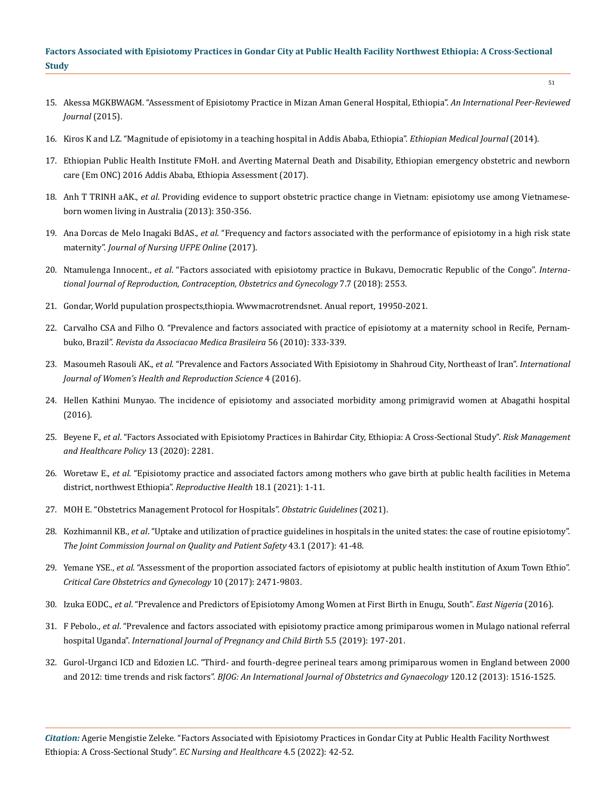- 15. [Akessa MGKBWAGM. "Assessment of Episiotomy Practice in Mizan Aman General Hospital, Ethiopia".](https://www.semanticscholar.org/paper/Assessment-of-Episiotomy-Practice-in-Mizan-Aman-Kumera-Ademe/c32d6f01fa954aeb8bd0dc63eb43c207caced807) *An International Peer-Reviewed [Journal](https://www.semanticscholar.org/paper/Assessment-of-Episiotomy-Practice-in-Mizan-Aman-Kumera-Ademe/c32d6f01fa954aeb8bd0dc63eb43c207caced807)* (2015).
- 16. [Kiros K and LZ. "Magnitude of episiotomy in a teaching hospital in Addis Ababa, Ethiopia".](https://www.researchgate.net/publication/6382211_Magnitude_of_episiotomy_in_a_teaching_hospital_in_Addis_Ababa_Ethiopia) *Ethiopian Medical Journal* (2014).
- 17. [Ethiopian Public Health Institute FMoH. and Averting Maternal Death and Disability, Ethiopian emergency obstetric and newborn](https://www.google.com/url?sa=t&rct=j&q=&esrc=s&source=web&cd=&cad=rja&uact=8&ved=2ahUKEwjl_c2bwu32AhVrR2wGHXerCE4QFnoECAUQAQ&url=http%3A%2F%2Frepository.iifphc.org%2Fbitstream%2Fhandle%2F123456789%2F472%2FFINAL%2520EmONC%2520Final%2520Report%2520Jan11%25202018%2520.pdf%3Fsequence%3D1%26isAllowed%3Dy&usg=AOvVaw010lzZDcw7kmpWUzTkVqwa)  [care \(Em ONC\) 2016 Addis Ababa, Ethiopia Assessment \(2017\).](https://www.google.com/url?sa=t&rct=j&q=&esrc=s&source=web&cd=&cad=rja&uact=8&ved=2ahUKEwjl_c2bwu32AhVrR2wGHXerCE4QFnoECAUQAQ&url=http%3A%2F%2Frepository.iifphc.org%2Fbitstream%2Fhandle%2F123456789%2F472%2FFINAL%2520EmONC%2520Final%2520Report%2520Jan11%25202018%2520.pdf%3Fsequence%3D1%26isAllowed%3Dy&usg=AOvVaw010lzZDcw7kmpWUzTkVqwa)
- 18. Anh T TRINH aAK., *et al*. Providing evidence to support obstetric practice change in Vietnam: episiotomy use among Vietnameseborn women living in Australia (2013): 350-356.
- 19. Ana Dorcas de Melo Inagaki BdAS., *et al*[. "Frequency and factors associated with the performance of episiotomy in a high risk state](https://www.researchgate.net/publication/321915613_FREQUENCY_AND_FACTORS_ASSOCIATED_WITH_THE_PERFORMANCE_OF_EPISIOTOMY_IN_A_HIGH_RISK_STATE_MATERNITY)  maternity". *[Journal of Nursing UFPE Online](https://www.researchgate.net/publication/321915613_FREQUENCY_AND_FACTORS_ASSOCIATED_WITH_THE_PERFORMANCE_OF_EPISIOTOMY_IN_A_HIGH_RISK_STATE_MATERNITY)* (2017).
- 20. Ntamulenga Innocent., *et al*[. "Factors associated with episiotomy practice in Bukavu, Democratic Republic of the Congo".](https://www.ijrcog.org/index.php/ijrcog/article/view/4900) *Interna[tional Journal of Reproduction, Contraception, Obstetrics and Gynecology](https://www.ijrcog.org/index.php/ijrcog/article/view/4900)* 7.7 (2018): 2553.
- 21. Gondar, World pupulation prospects,thiopia. Wwwmacrotrendsnet. Anual report, 19950-2021.
- 22. [Carvalho CSA and Filho O. "Prevalence and factors associated with practice of episiotomy at a maternity school in Recife, Pernam](https://pubmed.ncbi.nlm.nih.gov/20676543/)buko, Brazil". *[Revista da Associacao Medica Brasileira](https://pubmed.ncbi.nlm.nih.gov/20676543/)* 56 (2010): 333-339.
- 23. Masoumeh Rasouli AK., *et al*[. "Prevalence and Factors Associated With Episiotomy in Shahroud City, Northeast of Iran".](https://www.researchgate.net/publication/305642266_Prevalence_and_Factors_Associated_With_Episiotomy_in_Shahroud_City_Northeast_of_Iran) *International [Journal of Women's Health and Reproduction Science](https://www.researchgate.net/publication/305642266_Prevalence_and_Factors_Associated_With_Episiotomy_in_Shahroud_City_Northeast_of_Iran)* 4 (2016).
- 24. [Hellen Kathini Munyao. The incidence of episiotomy and associated morbidity among primigravid women at Abagathi hospital](http://erepository.uonbi.ac.ke/bitstream/handle/11295/98277/DR.%20HELLEN%20NOV%205.pdf?sequence=1)  [\(2016\).](http://erepository.uonbi.ac.ke/bitstream/handle/11295/98277/DR.%20HELLEN%20NOV%205.pdf?sequence=1)
- 25. Beyene F., *et al*[. "Factors Associated with Episiotomy Practices in Bahirdar City, Ethiopia: A Cross-Sectional Study".](https://www.dovepress.com/factors-associated-with-episiotomy-practices-in-bahirdar-city-ethiopia-peer-reviewed-fulltext-article-RMHP) *Risk Management [and Healthcare Policy](https://www.dovepress.com/factors-associated-with-episiotomy-practices-in-bahirdar-city-ethiopia-peer-reviewed-fulltext-article-RMHP)* 13 (2020): 2281.
- 26. Woretaw E., *et al*[. "Episiotomy practice and associated factors among mothers who gave birth at public health facilities in Metema](https://www.researchgate.net/publication/352932573_Episiotomy_practice_and_associated_factors_among_mothers_who_gave_birth_at_public_health_facilities_in_Metema_district_northwest_Ethiopia)  [district, northwest Ethiopia".](https://www.researchgate.net/publication/352932573_Episiotomy_practice_and_associated_factors_among_mothers_who_gave_birth_at_public_health_facilities_in_Metema_district_northwest_Ethiopia) *Reproductive Health* 18.1 (2021): 1-11.
- 27. [MOH E. "Obstetrics Management Protocol for Hospitals".](https://www.karger.com/Article/FullText/508487) *Obstatric Guidelines* (2021).
- 28. Kozhimannil KB., *et al*[. "Uptake and utilization of practice guidelines in hospitals in the united states: the case of routine episiotomy".](https://www.jointcommissionjournal.com/article/S1553-7250(16)30015-0/pdf)  *[The Joint Commission Journal on Quality and Patient Safety](https://www.jointcommissionjournal.com/article/S1553-7250(16)30015-0/pdf)* 43.1 (2017): 41-48.
- 29. Yemane YSE., *et al*[. "Assessment of the proportion associated factors of episiotomy at public health institution of Axum Town Ethio".](https://obstetrics.imedpub.com/assessment-of-the-proportion-and-associated-factors-of-episiotomy-at-public-health-institutions-of-axum-town-tigray-region-north-e.php?aid=19918)  *[Critical Care Obstetrics and Gynecology](https://obstetrics.imedpub.com/assessment-of-the-proportion-and-associated-factors-of-episiotomy-at-public-health-institutions-of-axum-town-tigray-region-north-e.php?aid=19918)* 10 (2017): 2471-9803.
- 30. Izuka EODC., *et al*[. "Prevalence and Predictors of Episiotomy Among Women at First Birth in Enugu, South".](https://pubmed.ncbi.nlm.nih.gov/25506488/) *East Nigeria* (2016).
- 31. F Pebolo., *et al*[. "Prevalence and factors associated with episiotomy practice among primiparous women in Mulago national referral](https://medcraveonline.com/IPCB/IPCB-05-00176.pdf)  hospital Uganda". *[International Journal of Pregnancy and Child Birth](https://medcraveonline.com/IPCB/IPCB-05-00176.pdf)* 5.5 (2019): 197-201.
- 32. [Gurol-Urganci ICD and Edozien LC. "Third- and fourth-degree perineal tears among primiparous women in England between 2000](https://pubmed.ncbi.nlm.nih.gov/23834484/)  and 2012: time trends and risk factors". *[BJOG: An International Journal of Obstetrics and Gynaecology](https://pubmed.ncbi.nlm.nih.gov/23834484/)* 120.12 (2013): 1516-1525.

*Citation:* Agerie Mengistie Zeleke*.* "Factors Associated with Episiotomy Practices in Gondar City at Public Health Facility Northwest Ethiopia: A Cross-Sectional Study". *EC Nursing and Healthcare* 4.5 (2022): 42-52.